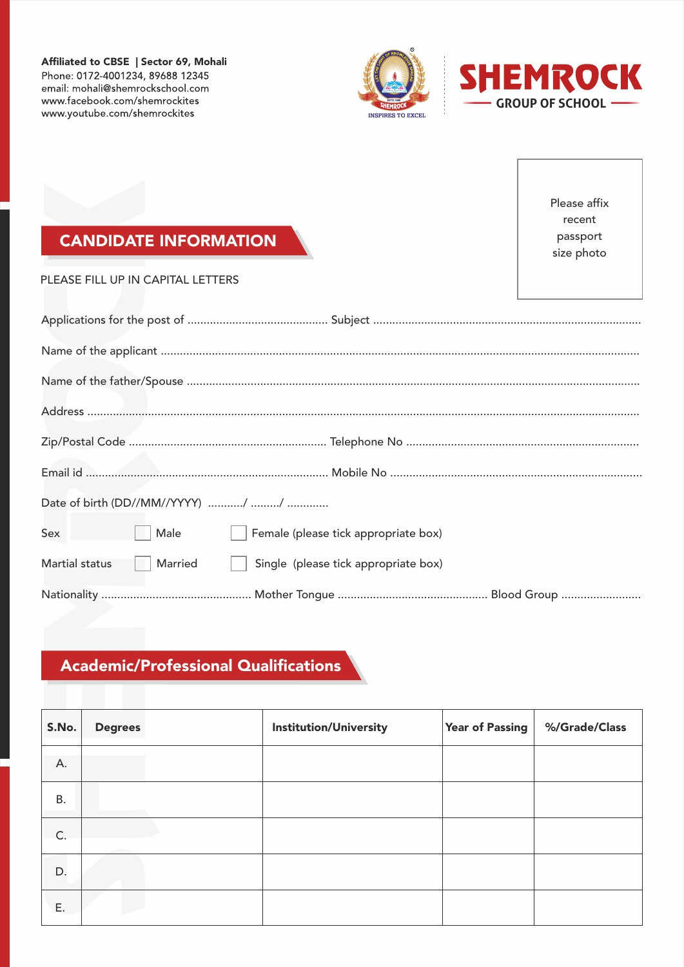Affiliated to CBSE | Sector 69, Mohali Phone: 0172-4001234, 89688 12345 email: mohali@shemrockschool.com www.facebook.com/shemrockites www.youtube.com/shemrockites



### CANDIDATE INFORMATION

|                |                | <b>CANDIDATE INFORMATION</b>                |                                      |                        | Please affix<br>recent<br>passport<br>size photo |
|----------------|----------------|---------------------------------------------|--------------------------------------|------------------------|--------------------------------------------------|
|                |                | PLEASE FILL UP IN CAPITAL LETTERS           |                                      |                        |                                                  |
|                |                |                                             |                                      |                        |                                                  |
|                |                |                                             |                                      |                        |                                                  |
|                |                |                                             |                                      |                        |                                                  |
|                |                |                                             |                                      |                        |                                                  |
|                |                |                                             |                                      |                        |                                                  |
|                |                |                                             |                                      |                        |                                                  |
|                |                |                                             |                                      |                        |                                                  |
| Sex            |                | Male                                        | Female (please tick appropriate box) |                        |                                                  |
| Martial status |                | Married                                     | Single (please tick appropriate box) |                        |                                                  |
|                |                |                                             |                                      |                        |                                                  |
|                |                |                                             |                                      |                        |                                                  |
|                |                |                                             |                                      |                        |                                                  |
|                |                | <b>Academic/Professional Qualifications</b> |                                      |                        |                                                  |
|                |                |                                             |                                      |                        |                                                  |
| S.No.          | <b>Degrees</b> |                                             | <b>Institution/University</b>        | <b>Year of Passing</b> | %/Grade/Class                                    |
| А.             |                |                                             |                                      |                        |                                                  |
| Β.             |                |                                             |                                      |                        |                                                  |
| C.             |                |                                             |                                      |                        |                                                  |
| D.             |                |                                             |                                      |                        |                                                  |
|                |                |                                             |                                      |                        |                                                  |
| Ε.             |                |                                             |                                      |                        |                                                  |

## Academic/Professional Qualifications

| S.No.     | <b>Degrees</b> | <b>Institution/University</b> | <b>Year of Passing</b> | %/Grade/Class |
|-----------|----------------|-------------------------------|------------------------|---------------|
| А.        |                |                               |                        |               |
| <b>B.</b> |                |                               |                        |               |
| C.        |                |                               |                        |               |
| D.        |                |                               |                        |               |
| Ε.        |                |                               |                        |               |